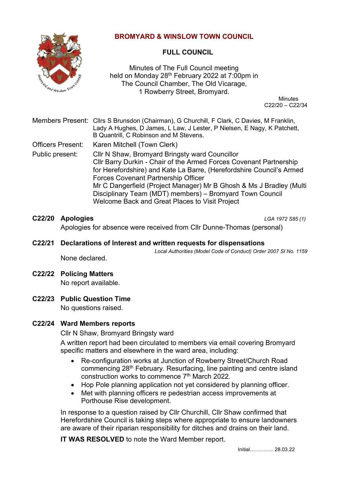

# **BROMYARD & WINSLOW TOWN COUNCIL**

# **FULL COUNCIL**

Minutes of The Full Council meeting held on Monday 28<sup>th</sup> February 2022 at 7:00pm in The Council Chamber, The Old Vicarage, 1 Rowberry Street, Bromyard.

 Minutes C22/20 – C22/34

| Members Present: Clirs S Brunsdon (Chairman), G Churchill, F Clark, C Davies, M Franklin, |
|-------------------------------------------------------------------------------------------|
| Lady A Hughes, D James, L Law, J Lester, P Nielsen, E Nagy, K Patchett,                   |
| B Quantrill, C Robinson and M Stevens.                                                    |

Officers Present: Karen Mitchell (Town Clerk)

Public present: Cllr N Shaw, Bromyard Bringsty ward Councillor Cllr Barry Durkin - Chair of the Armed Forces Covenant Partnership for Herefordshire) and Kate La Barre, (Herefordshire Council's Armed Forces Covenant Partnership Officer Mr C Dangerfield (Project Manager) Mr B Ghosh & Ms J Bradley (Multi Disciplinary Team (MDT) members) – Bromyard Town Council Welcome Back and Great Places to Visit Project

## **C22/20 Apologies** *LGA 1972 S85 (1)*

Apologies for absence were received from Cllr Dunne-Thomas (personal)

## **C22/21 Declarations of Interest and written requests for dispensations**

*Local Authorities (Model Code of Conduct) Order 2007 SI No. 1159*

None declared.

### **C22/22 Policing Matters** No report available.

- 
- **C22/23 Public Question Time** No questions raised.

# **C22/24 Ward Members reports**

Cllr N Shaw, Bromyard Bringsty ward

A written report had been circulated to members via email covering Bromyard specific matters and elsewhere in the ward area, including:

- Re-configuration works at Junction of Rowberry Street/Church Road commencing 28th February. Resurfacing, line painting and centre island construction works to commence 7th March 2022.
- Hop Pole planning application not yet considered by planning officer.
- Met with planning officers re pedestrian access improvements at Porthouse Rise development.

In response to a question raised by Cllr Churchill, Cllr Shaw confirmed that Herefordshire Council is taking steps where appropriate to ensure landowners are aware of their riparian responsibility for ditches and drains on their land.

**IT WAS RESOLVED** to note the Ward Member report.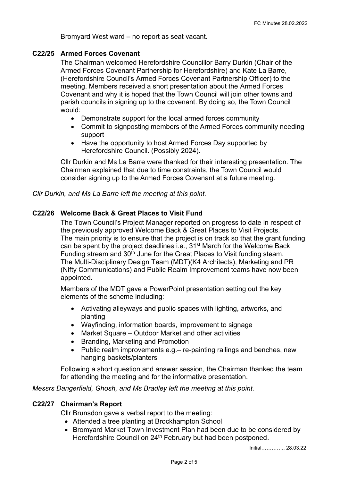Bromyard West ward – no report as seat vacant.

#### **C22/25 Armed Forces Covenant**

The Chairman welcomed Herefordshire Councillor Barry Durkin (Chair of the Armed Forces Covenant Partnership for Herefordshire) and Kate La Barre, (Herefordshire Council's Armed Forces Covenant Partnership Officer) to the meeting. Members received a short presentation about the Armed Forces Covenant and why it is hoped that the Town Council will join other towns and parish councils in signing up to the covenant. By doing so, the Town Council would:

- Demonstrate support for the local armed forces community
- Commit to signposting members of the Armed Forces community needing support
- Have the opportunity to host Armed Forces Day supported by Herefordshire Council. (Possibly 2024).

Cllr Durkin and Ms La Barre were thanked for their interesting presentation. The Chairman explained that due to time constraints, the Town Council would consider signing up to the Armed Forces Covenant at a future meeting.

*Cllr Durkin, and Ms La Barre left the meeting at this point.*

### **C22/26 Welcome Back & Great Places to Visit Fund**

The Town Council's Project Manager reported on progress to date in respect of the previously approved Welcome Back & Great Places to Visit Projects. The main priority is to ensure that the project is on track so that the grant funding can be spent by the project deadlines i.e., 31<sup>st</sup> March for the Welcome Back Funding stream and 30<sup>th</sup> June for the Great Places to Visit funding steam. The Multi-Disciplinary Design Team (MDT)(K4 Architects), Marketing and PR (Nifty Communications) and Public Realm Improvement teams have now been appointed.

Members of the MDT gave a PowerPoint presentation setting out the key elements of the scheme including:

- Activating alleyways and public spaces with lighting, artworks, and planting
- Wayfinding, information boards, improvement to signage
- Market Square Outdoor Market and other activities
- Branding, Marketing and Promotion
- Public realm improvements e.g.– re-painting railings and benches, new hanging baskets/planters

Following a short question and answer session, the Chairman thanked the team for attending the meeting and for the informative presentation.

*Messrs Dangerfield, Ghosh, and Ms Bradley left the meeting at this point.*

#### **C22/27 Chairman's Report**

Cllr Brunsdon gave a verbal report to the meeting:

- Attended a tree planting at Brockhampton School
- Bromyard Market Town Investment Plan had been due to be considered by Herefordshire Council on 24<sup>th</sup> February but had been postponed.

Initial………….. 28.03.22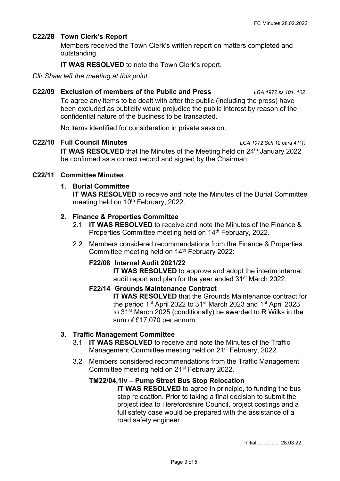### **C22/28 Town Clerk's Report**

Members received the Town Clerk's written report on matters completed and outstanding.

**IT WAS RESOLVED** to note the Town Clerk's report.

*Cllr Shaw left the meeting at this point.*

#### **C22/09 Exclusion of members of the Public and Press** *LGA 1972 ss 101, 102*

To agree any items to be dealt with after the public (including the press) have been excluded as publicity would prejudice the public interest by reason of the confidential nature of the business to be transacted.

No items identified for consideration in private session.

### **C22/10 Full Council Minutes** *LGA 1972 Sch 12 para 41(1)*

**IT WAS RESOLVED** that the Minutes of the Meeting held on 24<sup>th</sup> January 2022 be confirmed as a correct record and signed by the Chairman.

### **C22/11 Committee Minutes**

### **1. Burial Committee**

**IT WAS RESOLVED** to receive and note the Minutes of the Burial Committee meeting held on 10<sup>th</sup> February, 2022.

### **2. Finance & Properties Committee**

- 2.1 **IT WAS RESOLVED** to receive and note the Minutes of the Finance & Properties Committee meeting held on 14<sup>th</sup> February, 2022.
- 2.2 Members considered recommendations from the Finance & Properties Committee meeting held on 14<sup>th</sup> February 2022:

### **F22/08 Internal Audit 2021/22**

**IT WAS RESOLVED** to approve and adopt the interim internal audit report and plan for the year ended 31st March 2022.

# **F22/14 Grounds Maintenance Contract IT WAS RESOLVED** that the Grounds Maintenance contract for the period 1<sup>st</sup> April 2022 to 31<sup>st</sup> March 2023 and 1<sup>st</sup> April 2023

to 31<sup>st</sup> March 2025 (conditionally) be awarded to R Wilks in the sum of £17,070 per annum.

### **3. Traffic Management Committee**

- 3.1 **IT WAS RESOLVED** to receive and note the Minutes of the Traffic Management Committee meeting held on 21<sup>st</sup> February, 2022.
- 3.2 Members considered recommendations from the Traffic Management Committee meeting held on 21st February 2022.

### **TM22/04,1iv – Pump Street Bus Stop Relocation**

**IT WAS RESOLVED** to agree in principle, to funding the bus stop relocation. Prior to taking a final decision to submit the project idea to Herefordshire Council, project costings and a full safety case would be prepared with the assistance of a road safety engineer.

Initial………….. 28.03.22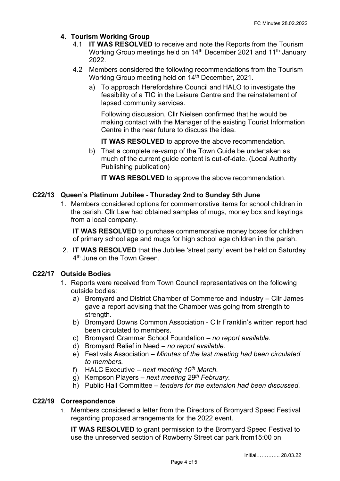## **4. Tourism Working Group**

- 4.1 **IT WAS RESOLVED** to receive and note the Reports from the Tourism Working Group meetings held on 14<sup>th</sup> December 2021 and 11<sup>th</sup> January 2022.
- 4.2 Members considered the following recommendations from the Tourism Working Group meeting held on 14<sup>th</sup> December, 2021.
	- a) To approach Herefordshire Council and HALO to investigate the feasibility of a TIC in the Leisure Centre and the reinstatement of lapsed community services.

Following discussion, Cllr Nielsen confirmed that he would be making contact with the Manager of the existing Tourist Information Centre in the near future to discuss the idea.

**IT WAS RESOLVED** to approve the above recommendation.

b) That a complete re-vamp of the Town Guide be undertaken as much of the current guide content is out-of-date. (Local Authority Publishing publication)

**IT WAS RESOLVED** to approve the above recommendation.

### **C22/13 Queen's Platinum Jubilee - Thursday 2nd to Sunday 5th June**

1. Members considered options for commemorative items for school children in the parish. Cllr Law had obtained samples of mugs, money box and keyrings from a local company.

**IT WAS RESOLVED** to purchase commemorative money boxes for children of primary school age and mugs for high school age children in the parish.

2. **IT WAS RESOLVED** that the Jubilee 'street party' event be held on Saturday 4<sup>th</sup> June on the Town Green.

## **C22/17 Outside Bodies**

- 1. Reports were received from Town Council representatives on the following outside bodies:
	- a) Bromyard and District Chamber of Commerce and Industry Cllr James gave a report advising that the Chamber was going from strength to strength.
	- b) Bromyard Downs Common Association Cllr Franklin's written report had been circulated to members.
	- c) Bromyard Grammar School Foundation *no report available.*
	- d) Bromyard Relief in Need *no report available.*
	- e) Festivals Association *Minutes of the last meeting had been circulated to members.*
	- f) HALC Executive *next meeting 10th March*.
	- g) Kempson Players *next meeting 29th February.*
	- h) Public Hall Committee *tenders for the extension had been discussed.*

#### **C22/19 Correspondence**

1. Members considered a letter from the Directors of Bromyard Speed Festival regarding proposed arrangements for the 2022 event.

**IT WAS RESOLVED** to grant permission to the Bromyard Speed Festival to use the unreserved section of Rowberry Street car park from15:00 on